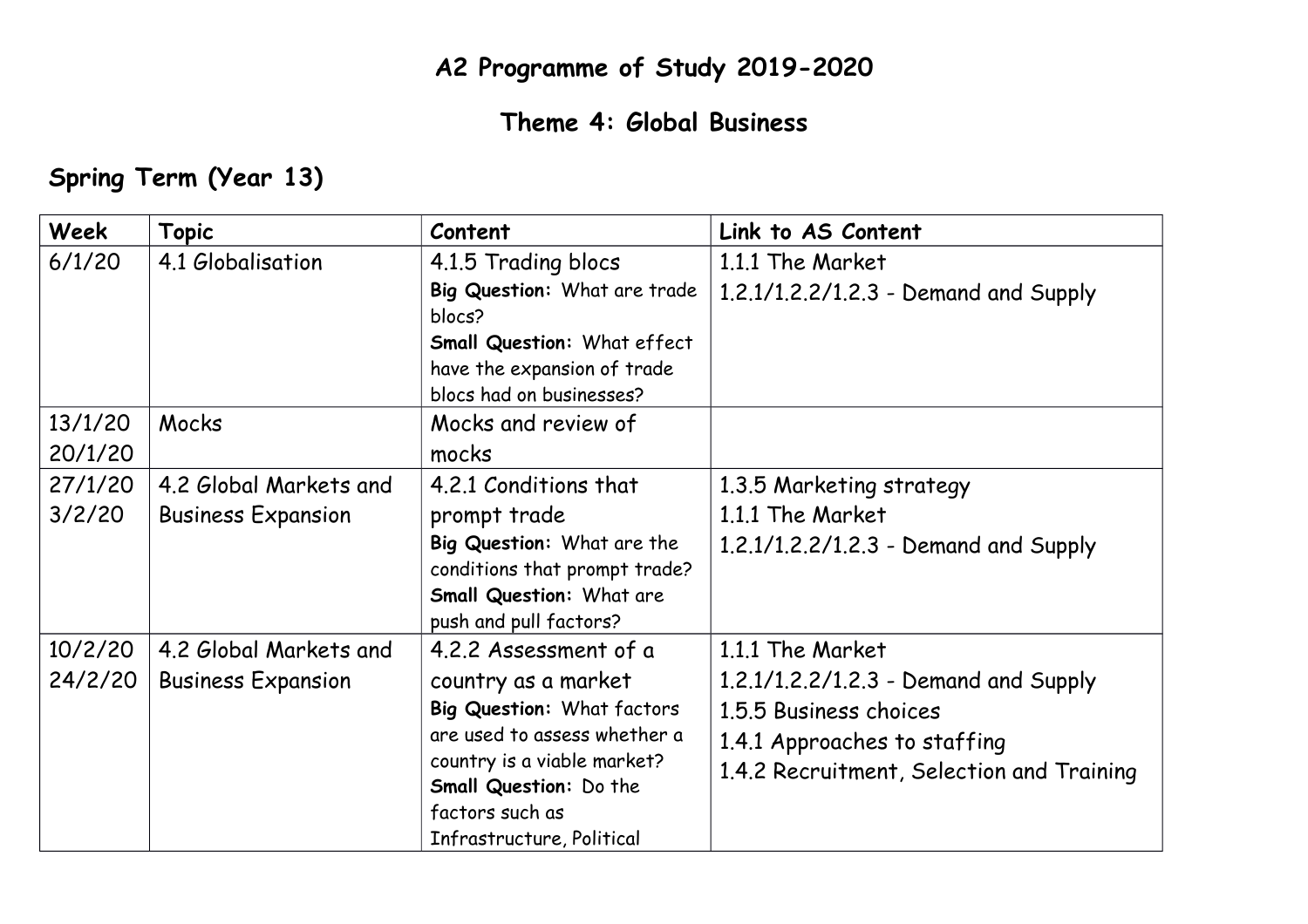## **A2 Programme of Study 2019-2020**

## **Theme 4: Global Business**

## **Spring Term (Year 13)**

| Week    | <b>Topic</b>              | Content                       | Link to AS Content                        |
|---------|---------------------------|-------------------------------|-------------------------------------------|
| 6/1/20  | 4.1 Globalisation         | 4.1.5 Trading blocs           | 1.1.1 The Market                          |
|         |                           | Big Question: What are trade  | 1.2.1/1.2.2/1.2.3 - Demand and Supply     |
|         |                           | blocs?                        |                                           |
|         |                           | Small Question: What effect   |                                           |
|         |                           | have the expansion of trade   |                                           |
|         |                           | blocs had on businesses?      |                                           |
| 13/1/20 | Mocks                     | Mocks and review of           |                                           |
| 20/1/20 |                           | mocks                         |                                           |
| 27/1/20 | 4.2 Global Markets and    | 4.2.1 Conditions that         | 1.3.5 Marketing strategy                  |
| 3/2/20  | <b>Business Expansion</b> | prompt trade                  | 1.1.1 The Market                          |
|         |                           | Big Question: What are the    | 1.2.1/1.2.2/1.2.3 - Demand and Supply     |
|         |                           | conditions that prompt trade? |                                           |
|         |                           | Small Question: What are      |                                           |
|         |                           | push and pull factors?        |                                           |
| 10/2/20 | 4.2 Global Markets and    | 4.2.2 Assessment of a         | 1.1.1 The Market                          |
| 24/2/20 | <b>Business Expansion</b> | country as a market           | 1.2.1/1.2.2/1.2.3 - Demand and Supply     |
|         |                           | Big Question: What factors    | 1.5.5 Business choices                    |
|         |                           | are used to assess whether a  | 1.4.1 Approaches to staffing              |
|         |                           | country is a viable market?   | 1.4.2 Recruitment, Selection and Training |
|         |                           | Small Question: Do the        |                                           |
|         |                           | factors such as               |                                           |
|         |                           | Infrastructure, Political     |                                           |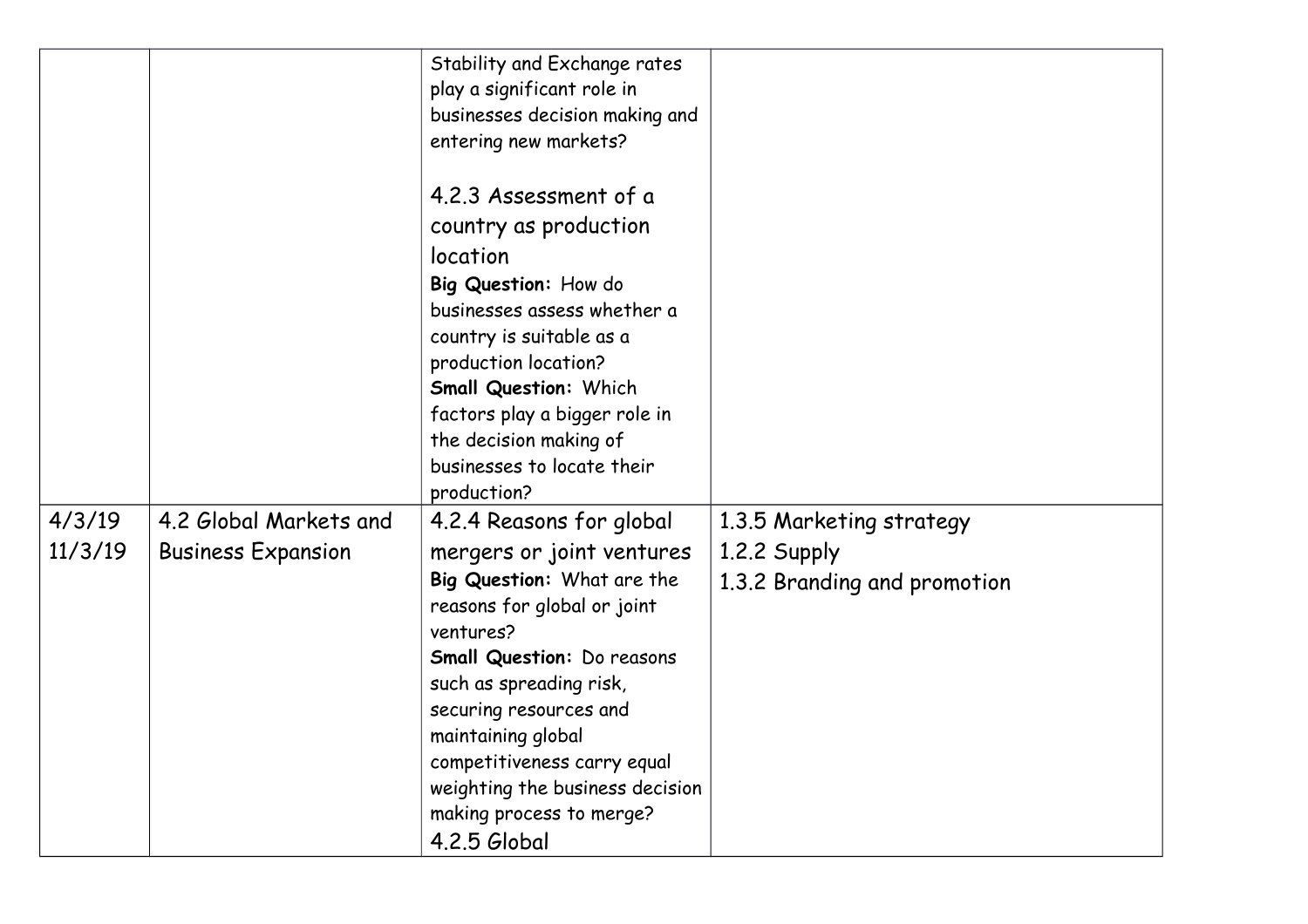|                   |                                                     | Stability and Exchange rates<br>play a significant role in<br>businesses decision making and<br>entering new markets?                                                                                                                                                                                                                                         |                                                                          |
|-------------------|-----------------------------------------------------|---------------------------------------------------------------------------------------------------------------------------------------------------------------------------------------------------------------------------------------------------------------------------------------------------------------------------------------------------------------|--------------------------------------------------------------------------|
|                   |                                                     | 4.2.3 Assessment of a<br>country as production<br>location<br>Big Question: How do<br>businesses assess whether a<br>country is suitable as a<br>production location?<br><b>Small Question: Which</b><br>factors play a bigger role in<br>the decision making of<br>businesses to locate their<br>production?                                                 |                                                                          |
| 4/3/19<br>11/3/19 | 4.2 Global Markets and<br><b>Business Expansion</b> | 4.2.4 Reasons for global<br>mergers or joint ventures<br>Big Question: What are the<br>reasons for global or joint<br>ventures?<br><b>Small Question: Do reasons</b><br>such as spreading risk,<br>securing resources and<br>maintaining global<br>competitiveness carry equal<br>weighting the business decision<br>making process to merge?<br>4.2.5 Global | 1.3.5 Marketing strategy<br>1.2.2 Supply<br>1.3.2 Branding and promotion |